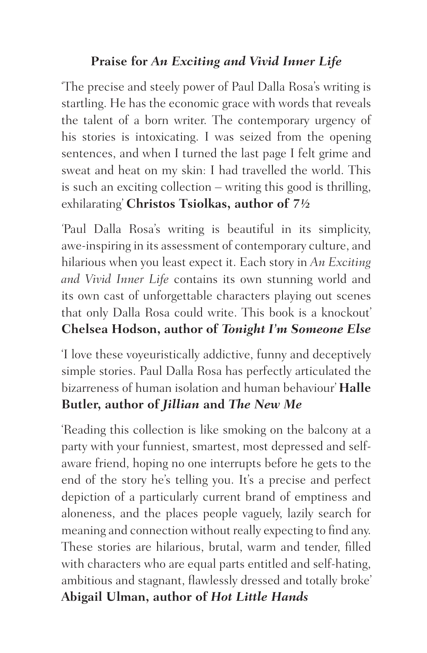#### **Praise for** *An Exciting and Vivid Inner Life*

'The precise and steely power of Paul Dalla Rosa's writing is startling. He has the economic grace with words that reveals the talent of a born writer. The contemporary urgency of his stories is intoxicating. I was seized from the opening sentences, and when I turned the last page I felt grime and sweat and heat on my skin: I had travelled the world. This is such an exciting collection – writing this good is thrilling, exhilarating' **Christos Tsiolkas, author of** *7½*

*'*Paul Dalla Rosa's writing is beautiful in its simplicity, awe-inspiring in its assessment of contemporary culture, and hilarious when you least expect it. Each story in *An Exciting and Vivid Inner Life* contains its own stunning world and its own cast of unforgettable characters playing out scenes that only Dalla Rosa could write. This book is a knockout' **Chelsea Hodson, author of** *Tonight I'm Someone Else*

'I love these voyeuristically addictive, funny and deceptively simple stories. Paul Dalla Rosa has perfectly articulated the bizarreness of human isolation and human behaviour' **Halle Butler, author of** *Jillian* **and** *The New Me*

'Reading this collection is like smoking on the balcony at a party with your funniest, smartest, most depressed and selfaware friend, hoping no one interrupts before he gets to the end of the story he's telling you. It's a precise and perfect depiction of a particularly current brand of emptiness and aloneness, and the places people vaguely, lazily search for meaning and connection without really expecting to find any. These stories are hilarious, brutal, warm and tender, filled with characters who are equal parts entitled and self-hating, ambitious and stagnant, flawlessly dressed and totally broke' **Abigail Ulman, author of** *Hot Little Hands*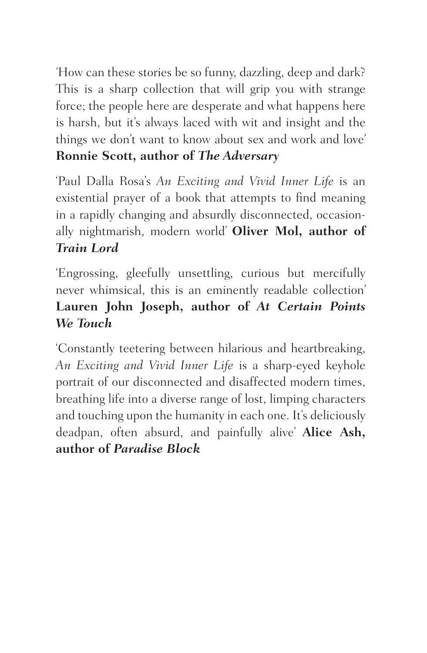*'*How can these stories be so funny, dazzling, deep and dark? This is a sharp collection that will grip you with strange force; the people here are desperate and what happens here is harsh, but it's always laced with wit and insight and the things we don't want to know about sex and work and love' **Ronnie Scott, author of** *The Adversary* 

'Paul Dalla Rosa's *An Exciting and Vivid Inner Life* is an existential prayer of a book that attempts to find meaning in a rapidly changing and absurdly disconnected, occasionally nightmarish, modern world' **Oliver Mol, author of**  *Train Lord*

'Engrossing, gleefully unsettling, curious but mercifully never whimsical, this is an eminently readable collection' **Lauren John Joseph, author of** *At Certain Points We Touch*

'Constantly teetering between hilarious and heartbreaking, *An Exciting and Vivid Inner Life* is a sharp-eyed keyhole portrait of our disconnected and disaffected modern times, breathing life into a diverse range of lost, limping characters and touching upon the humanity in each one. It's deliciously deadpan, often absurd, and painfully alive' **Alice Ash, author of** *Paradise Block*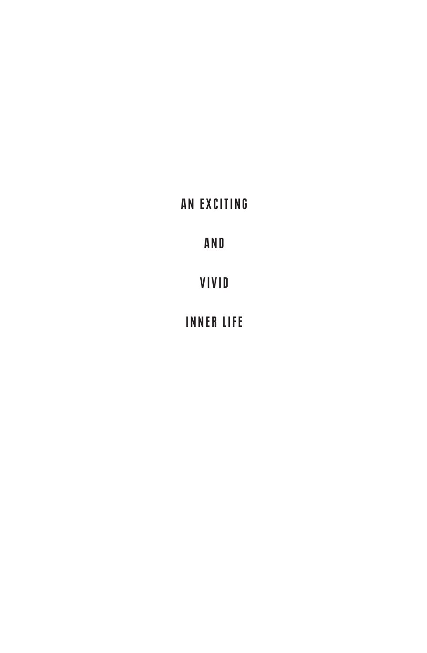### AN EXCITING

A N D

VIVID

INNER LIFE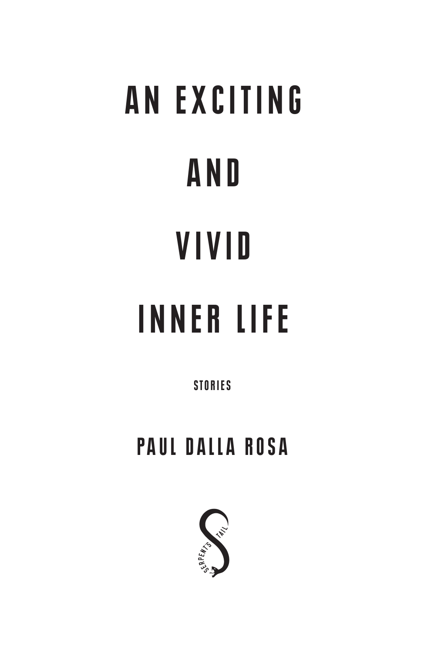# AN EXCITING A N D VIVID INNER LIFE

**STORIES** 

## PAUL DALLA ROSA

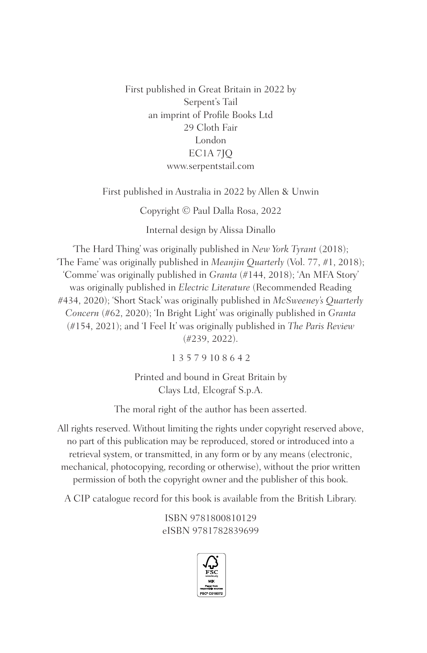First published in Great Britain in 2022 by Serpent's Tail an imprint of Profile Books Ltd 29 Cloth Fair London EC1A 7JQ www.serpentstail.com

First published in Australia in 2022 by Allen & Unwin

Copyright © Paul Dalla Rosa, 2022

Internal design by Alissa Dinallo

'The Hard Thing' was originally published in *New York Tyrant* (2018); 'The Fame' was originally published in *Meanjin Quarterly* (Vol. 77, #1, 2018); 'Comme' was originally published in *Granta* (#144, 2018); 'An MFA Story' was originally published in *Electric Literature* (Recommended Reading #434, 2020); 'Short Stack' was originally published in *McSweeney's Quarterly Concern* (#62, 2020); 'In Bright Light' was originally published in *Granta* (#154, 2021); and 'I Feel It' was originally published in *The Paris Review* (#239, 2022).

1 3 5 7 9 10 8 6 4 2

Printed and bound in Great Britain by Clays Ltd, Elcograf S.p.A.

The moral right of the author has been asserted.

All rights reserved. Without limiting the rights under copyright reserved above, no part of this publication may be reproduced, stored or introduced into a retrieval system, or transmitted, in any form or by any means (electronic, mechanical, photocopying, recording or otherwise), without the prior written permission of both the copyright owner and the publisher of this book.

A CIP catalogue record for this book is available from the British Library.

ISBN 9781800810129 eISBN 9781782839699

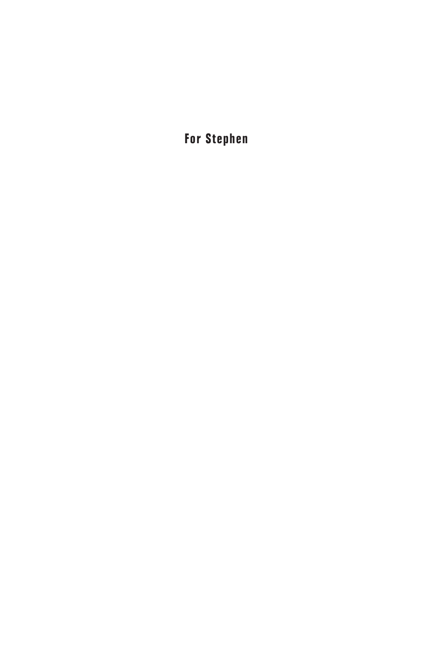For Stephen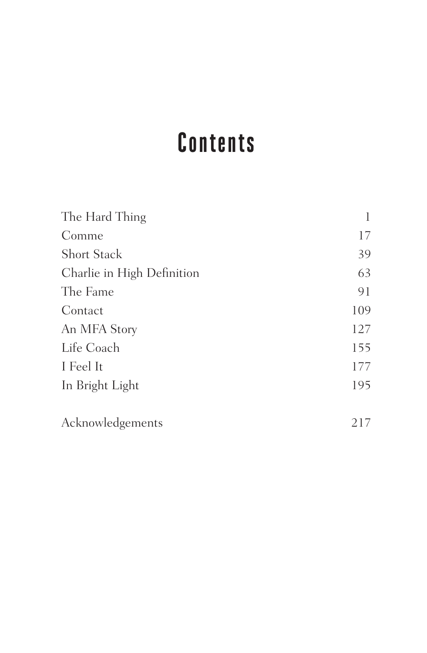## Contents

| The Hard Thing             | 1   |
|----------------------------|-----|
| Comme                      | 17  |
| <b>Short Stack</b>         | 39  |
| Charlie in High Definition | 63  |
| The Fame                   | 91  |
| Contact                    | 109 |
| An MFA Story               | 127 |
| Life Coach                 | 155 |
| I Feel It                  | 177 |
| In Bright Light            | 195 |
|                            |     |
| Acknowledgements           | 217 |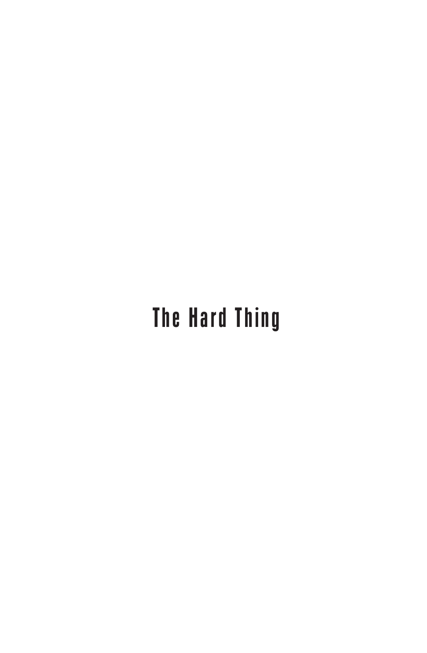# The Hard Thing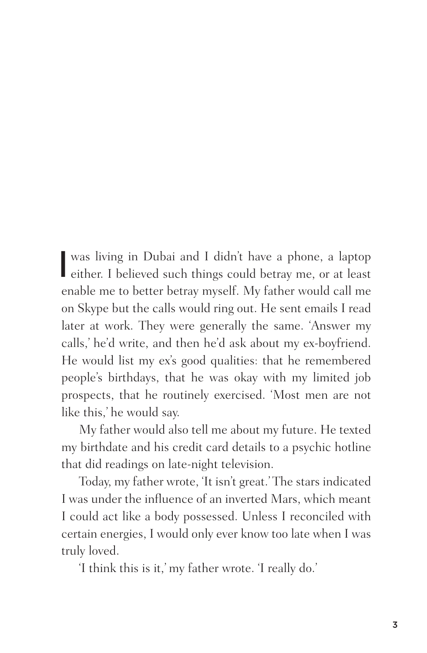I was living in Dubai and I didn't have a phone, a laptop either. I believed such things could betray me, or at least enable me to better betray myself. My father would call me on Skype but the calls would ring out. He sent emails I read later at work. They were generally the same. 'Answer my calls,' he'd write, and then he'd ask about my ex-boyfriend. He would list my ex's good qualities: that he remembered people's birthdays, that he was okay with my limited job prospects, that he routinely exercised. 'Most men are not like this,' he would say.

My father would also tell me about my future. He texted my birthdate and his credit card details to a psychic hotline that did readings on late-night television.

Today, my father wrote, 'It isn't great.' The stars indicated I was under the influence of an inverted Mars, which meant I could act like a body possessed. Unless I reconciled with certain energies, I would only ever know too late when I was truly loved.

'I think this is it,' my father wrote. 'I really do.'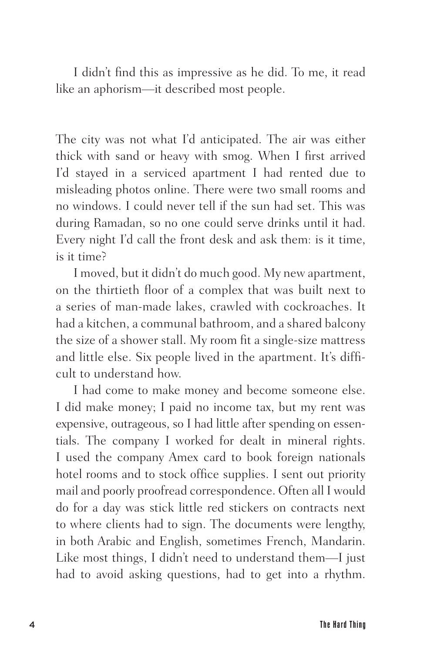I didn't find this as impressive as he did. To me, it read like an aphorism—it described most people.

The city was not what I'd anticipated. The air was either thick with sand or heavy with smog. When I first arrived I'd stayed in a serviced apartment I had rented due to misleading photos online. There were two small rooms and no windows. I could never tell if the sun had set. This was during Ramadan, so no one could serve drinks until it had. Every night I'd call the front desk and ask them: is it time, is it time?

I moved, but it didn't do much good. My new apartment, on the thirtieth floor of a complex that was built next to a series of man-made lakes, crawled with cockroaches. It had a kitchen, a communal bathroom, and a shared balcony the size of a shower stall. My room fit a single-size mattress and little else. Six people lived in the apartment. It's difficult to understand how.

I had come to make money and become someone else. I did make money; I paid no income tax, but my rent was expensive, outrageous, so I had little after spending on essentials. The company I worked for dealt in mineral rights. I used the company Amex card to book foreign nationals hotel rooms and to stock office supplies. I sent out priority mail and poorly proofread correspondence. Often all I would do for a day was stick little red stickers on contracts next to where clients had to sign. The documents were lengthy, in both Arabic and English, sometimes French, Mandarin. Like most things, I didn't need to understand them—I just had to avoid asking questions, had to get into a rhythm.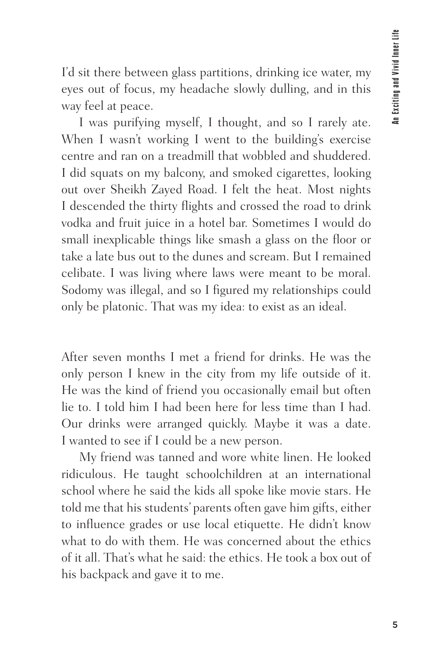I'd sit there between glass partitions, drinking ice water, my eyes out of focus, my headache slowly dulling, and in this way feel at peace.

I was purifying myself, I thought, and so I rarely ate. When I wasn't working I went to the building's exercise centre and ran on a treadmill that wobbled and shuddered. I did squats on my balcony, and smoked cigarettes, looking out over Sheikh Zayed Road. I felt the heat. Most nights I descended the thirty flights and crossed the road to drink vodka and fruit juice in a hotel bar. Sometimes I would do small inexplicable things like smash a glass on the floor or take a late bus out to the dunes and scream. But I remained celibate. I was living where laws were meant to be moral. Sodomy was illegal, and so I figured my relationships could only be platonic. That was my idea: to exist as an ideal.

After seven months I met a friend for drinks. He was the only person I knew in the city from my life outside of it. He was the kind of friend you occasionally email but often lie to. I told him I had been here for less time than I had. Our drinks were arranged quickly. Maybe it was a date. I wanted to see if I could be a new person.

My friend was tanned and wore white linen. He looked ridiculous. He taught schoolchildren at an international school where he said the kids all spoke like movie stars. He told me that his students' parents often gave him gifts, either to influence grades or use local etiquette. He didn't know what to do with them. He was concerned about the ethics of it all. That's what he said: the ethics. He took a box out of his backpack and gave it to me.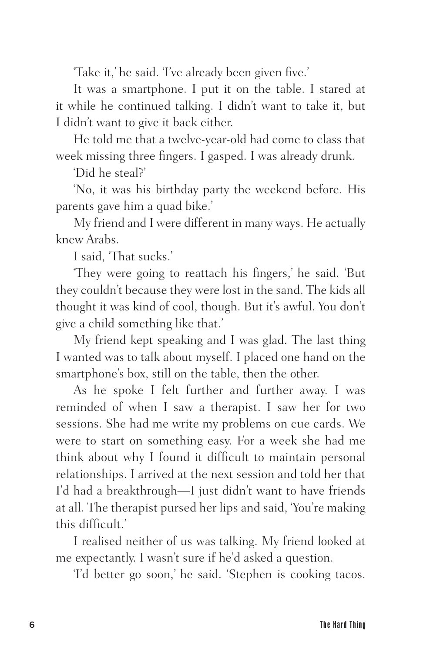'Take it,' he said. 'I've already been given five.'

It was a smartphone. I put it on the table. I stared at it while he continued talking. I didn't want to take it, but I didn't want to give it back either.

He told me that a twelve-year-old had come to class that week missing three fingers. I gasped. I was already drunk.

'Did he steal?'

'No, it was his birthday party the weekend before. His parents gave him a quad bike.'

My friend and I were different in many ways. He actually knew Arabs.

I said, 'That sucks.'

'They were going to reattach his fingers,' he said. 'But they couldn't because they were lost in the sand. The kids all thought it was kind of cool, though. But it's awful. You don't give a child something like that.'

My friend kept speaking and I was glad. The last thing I wanted was to talk about myself. I placed one hand on the smartphone's box, still on the table, then the other.

As he spoke I felt further and further away. I was reminded of when I saw a therapist. I saw her for two sessions. She had me write my problems on cue cards. We were to start on something easy. For a week she had me think about why I found it difficult to maintain personal relationships. I arrived at the next session and told her that I'd had a breakthrough—I just didn't want to have friends at all. The therapist pursed her lips and said, 'You're making this difficult.'

I realised neither of us was talking. My friend looked at me expectantly. I wasn't sure if he'd asked a question.

'I'd better go soon,' he said. 'Stephen is cooking tacos.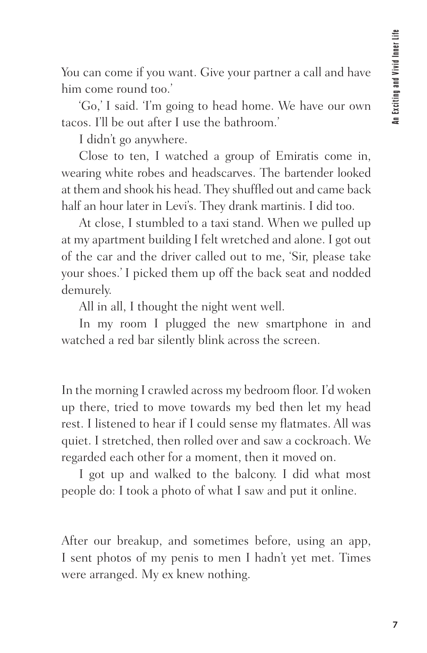You can come if you want. Give your partner a call and have him come round too.'

'Go,' I said. 'I'm going to head home. We have our own tacos. I'll be out after I use the bathroom.'

I didn't go anywhere.

Close to ten, I watched a group of Emiratis come in, wearing white robes and headscarves. The bartender looked at them and shook his head. They shuffled out and came back half an hour later in Levi's. They drank martinis. I did too.

At close, I stumbled to a taxi stand. When we pulled up at my apartment building I felt wretched and alone. I got out of the car and the driver called out to me, 'Sir, please take your shoes.' I picked them up off the back seat and nodded demurely.

All in all, I thought the night went well.

In my room I plugged the new smartphone in and watched a red bar silently blink across the screen.

In the morning I crawled across my bedroom floor. I'd woken up there, tried to move towards my bed then let my head rest. I listened to hear if I could sense my flatmates. All was quiet. I stretched, then rolled over and saw a cockroach. We regarded each other for a moment, then it moved on.

I got up and walked to the balcony. I did what most people do: I took a photo of what I saw and put it online.

After our breakup, and sometimes before, using an app, I sent photos of my penis to men I hadn't yet met. Times were arranged. My ex knew nothing.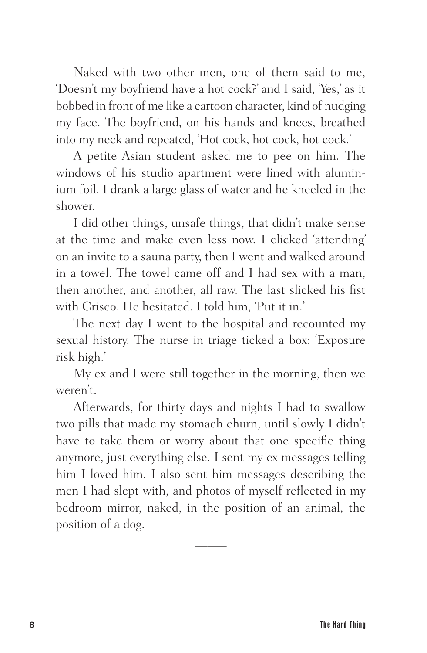Naked with two other men, one of them said to me, 'Doesn't my boyfriend have a hot cock?' and I said, 'Yes,' as it bobbed in front of me like a cartoon character, kind of nudging my face. The boyfriend, on his hands and knees, breathed into my neck and repeated, 'Hot cock, hot cock, hot cock.'

A petite Asian student asked me to pee on him. The windows of his studio apartment were lined with aluminium foil. I drank a large glass of water and he kneeled in the shower.

I did other things, unsafe things, that didn't make sense at the time and make even less now. I clicked 'attending' on an invite to a sauna party, then I went and walked around in a towel. The towel came off and I had sex with a man, then another, and another, all raw. The last slicked his fist with Crisco. He hesitated. I told him, 'Put it in.'

The next day I went to the hospital and recounted my sexual history. The nurse in triage ticked a box: 'Exposure risk high.'

My ex and I were still together in the morning, then we weren't.

Afterwards, for thirty days and nights I had to swallow two pills that made my stomach churn, until slowly I didn't have to take them or worry about that one specific thing anymore, just everything else. I sent my ex messages telling him I loved him. I also sent him messages describing the men I had slept with, and photos of myself reflected in my bedroom mirror, naked, in the position of an animal, the position of a dog.

 $\overline{\phantom{a}}$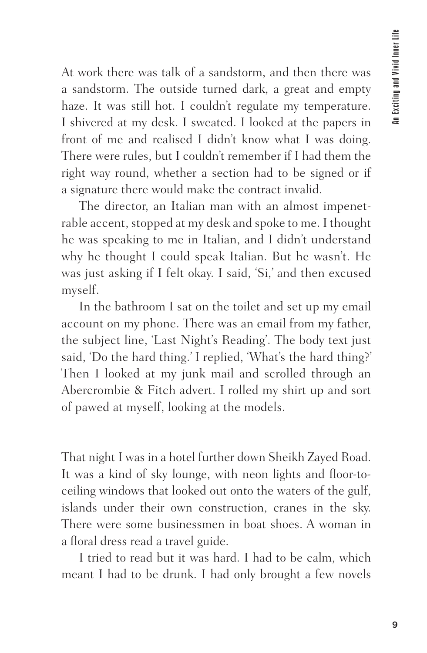At work there was talk of a sandstorm, and then there was a sandstorm. The outside turned dark, a great and empty haze. It was still hot. I couldn't regulate my temperature. I shivered at my desk. I sweated. I looked at the papers in front of me and realised I didn't know what I was doing. There were rules, but I couldn't remember if I had them the right way round, whether a section had to be signed or if a signature there would make the contract invalid.

The director, an Italian man with an almost impenetrable accent, stopped at my desk and spoke to me. I thought he was speaking to me in Italian, and I didn't understand why he thought I could speak Italian. But he wasn't. He was just asking if I felt okay. I said, 'Si,' and then excused myself.

In the bathroom I sat on the toilet and set up my email account on my phone. There was an email from my father, the subject line, 'Last Night's Reading'. The body text just said, 'Do the hard thing.' I replied, 'What's the hard thing?' Then I looked at my junk mail and scrolled through an Abercrombie & Fitch advert. I rolled my shirt up and sort of pawed at myself, looking at the models.

That night I was in a hotel further down Sheikh Zayed Road. It was a kind of sky lounge, with neon lights and floor-toceiling windows that looked out onto the waters of the gulf, islands under their own construction, cranes in the sky. There were some businessmen in boat shoes. A woman in a floral dress read a travel guide.

I tried to read but it was hard. I had to be calm, which meant I had to be drunk. I had only brought a few novels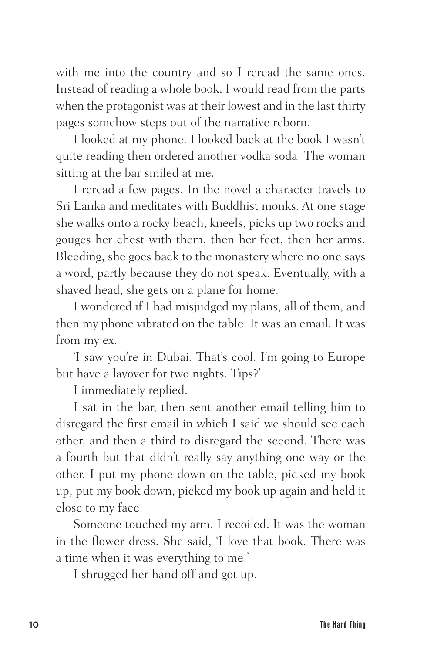with me into the country and so I reread the same ones. Instead of reading a whole book, I would read from the parts when the protagonist was at their lowest and in the last thirty pages somehow steps out of the narrative reborn.

I looked at my phone. I looked back at the book I wasn't quite reading then ordered another vodka soda. The woman sitting at the bar smiled at me.

I reread a few pages. In the novel a character travels to Sri Lanka and meditates with Buddhist monks. At one stage she walks onto a rocky beach, kneels, picks up two rocks and gouges her chest with them, then her feet, then her arms. Bleeding, she goes back to the monastery where no one says a word, partly because they do not speak. Eventually, with a shaved head, she gets on a plane for home.

I wondered if I had misjudged my plans, all of them, and then my phone vibrated on the table. It was an email. It was from my ex.

'I saw you're in Dubai. That's cool. I'm going to Europe but have a layover for two nights. Tips?'

I immediately replied.

I sat in the bar, then sent another email telling him to disregard the first email in which I said we should see each other, and then a third to disregard the second. There was a fourth but that didn't really say anything one way or the other. I put my phone down on the table, picked my book up, put my book down, picked my book up again and held it close to my face.

Someone touched my arm. I recoiled. It was the woman in the flower dress. She said, 'I love that book. There was a time when it was everything to me.'

I shrugged her hand off and got up.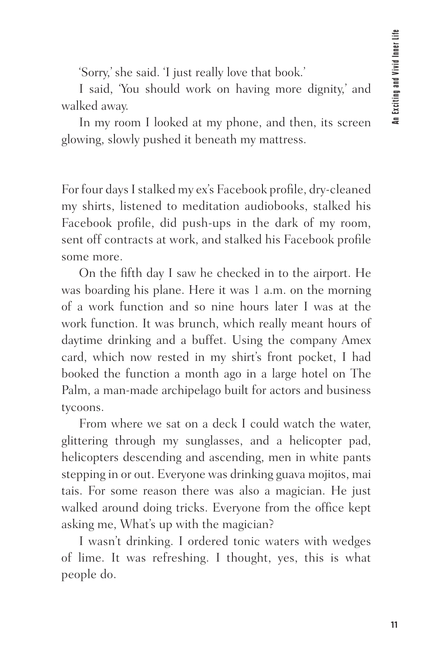'Sorry,' she said. 'I just really love that book.'

I said, 'You should work on having more dignity,' and walked away.

In my room I looked at my phone, and then, its screen glowing, slowly pushed it beneath my mattress.

For four days I stalked my ex's Facebook profile, dry-cleaned my shirts, listened to meditation audiobooks, stalked his Facebook profile, did push-ups in the dark of my room, sent off contracts at work, and stalked his Facebook profile some more.

On the fifth day I saw he checked in to the airport. He was boarding his plane. Here it was 1 a.m. on the morning of a work function and so nine hours later I was at the work function. It was brunch, which really meant hours of daytime drinking and a buffet. Using the company Amex card, which now rested in my shirt's front pocket, I had booked the function a month ago in a large hotel on The Palm, a man-made archipelago built for actors and business tycoons.

From where we sat on a deck I could watch the water, glittering through my sunglasses, and a helicopter pad, helicopters descending and ascending, men in white pants stepping in or out. Everyone was drinking guava mojitos, mai tais. For some reason there was also a magician. He just walked around doing tricks. Everyone from the office kept asking me, What's up with the magician?

I wasn't drinking. I ordered tonic waters with wedges of lime. It was refreshing. I thought, yes, this is what people do.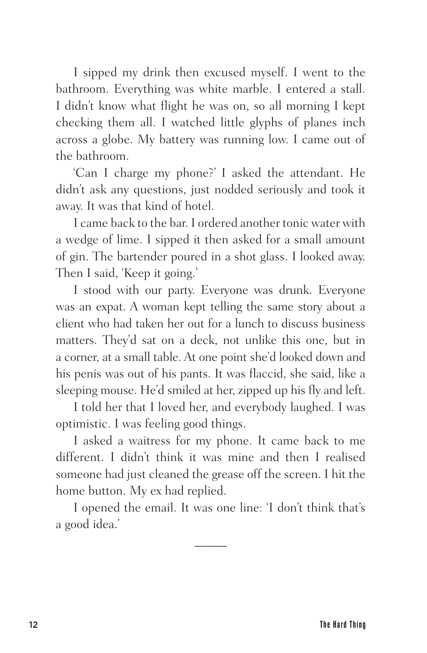I sipped my drink then excused myself. I went to the bathroom. Everything was white marble. I entered a stall. I didn't know what flight he was on, so all morning I kept checking them all. I watched little glyphs of planes inch across a globe. My battery was running low. I came out of the bathroom.

'Can I charge my phone?' I asked the attendant. He didn't ask any questions, just nodded seriously and took it away. It was that kind of hotel.

I came back to the bar. I ordered another tonic water with a wedge of lime. I sipped it then asked for a small amount of gin. The bartender poured in a shot glass. I looked away. Then I said, 'Keep it going.'

I stood with our party. Everyone was drunk. Everyone was an expat. A woman kept telling the same story about a client who had taken her out for a lunch to discuss business matters. They'd sat on a deck, not unlike this one, but in a corner, at a small table. At one point she'd looked down and his penis was out of his pants. It was flaccid, she said, like a sleeping mouse. He'd smiled at her, zipped up his fly and left.

I told her that I loved her, and everybody laughed. I was optimistic. I was feeling good things.

I asked a waitress for my phone. It came back to me different. I didn't think it was mine and then I realised someone had just cleaned the grease off the screen. I hit the home button. My ex had replied.

I opened the email. It was one line: 'I don't think that's a good idea.'

 $\overline{\phantom{a}}$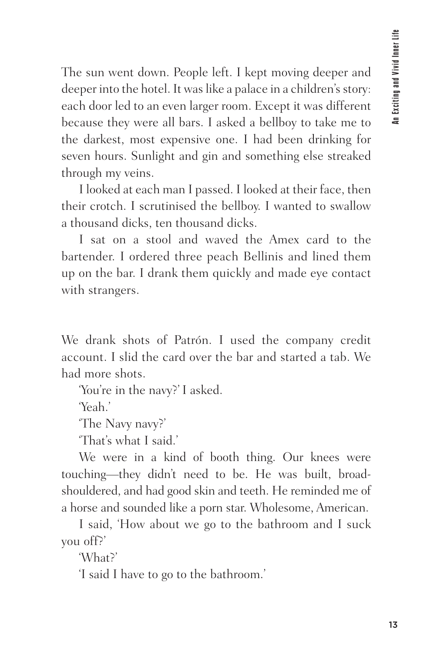The sun went down. People left. I kept moving deeper and deeper into the hotel. It was like a palace in a children's story: each door led to an even larger room. Except it was different because they were all bars. I asked a bellboy to take me to the darkest, most expensive one. I had been drinking for seven hours. Sunlight and gin and something else streaked through my veins.

I looked at each man I passed. I looked at their face, then their crotch. I scrutinised the bellboy. I wanted to swallow a thousand dicks, ten thousand dicks.

I sat on a stool and waved the Amex card to the bartender. I ordered three peach Bellinis and lined them up on the bar. I drank them quickly and made eye contact with strangers.

We drank shots of Patrón. I used the company credit account. I slid the card over the bar and started a tab. We had more shots.

'You're in the navy?' I asked.

'Yeah.'

'The Navy navy?'

'That's what I said.'

We were in a kind of booth thing. Our knees were touching—they didn't need to be. He was built, broadshouldered, and had good skin and teeth. He reminded me of a horse and sounded like a porn star. Wholesome, American.

I said, 'How about we go to the bathroom and I suck you off?'

'What?'

'I said I have to go to the bathroom.'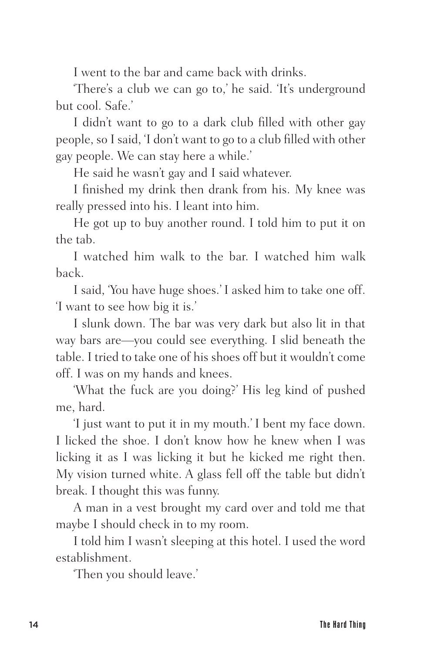I went to the bar and came back with drinks.

'There's a club we can go to,' he said. 'It's underground but cool. Safe.'

I didn't want to go to a dark club filled with other gay people, so I said, 'I don't want to go to a club filled with other gay people. We can stay here a while.'

He said he wasn't gay and I said whatever.

I finished my drink then drank from his. My knee was really pressed into his. I leant into him.

He got up to buy another round. I told him to put it on the tab.

I watched him walk to the bar. I watched him walk back.

I said, 'You have huge shoes.' I asked him to take one off. 'I want to see how big it is.'

I slunk down. The bar was very dark but also lit in that way bars are—you could see everything. I slid beneath the table. I tried to take one of his shoes off but it wouldn't come off. I was on my hands and knees.

'What the fuck are you doing?' His leg kind of pushed me, hard.

'I just want to put it in my mouth.' I bent my face down. I licked the shoe. I don't know how he knew when I was licking it as I was licking it but he kicked me right then. My vision turned white. A glass fell off the table but didn't break. I thought this was funny.

A man in a vest brought my card over and told me that maybe I should check in to my room.

I told him I wasn't sleeping at this hotel. I used the word establishment.

'Then you should leave.'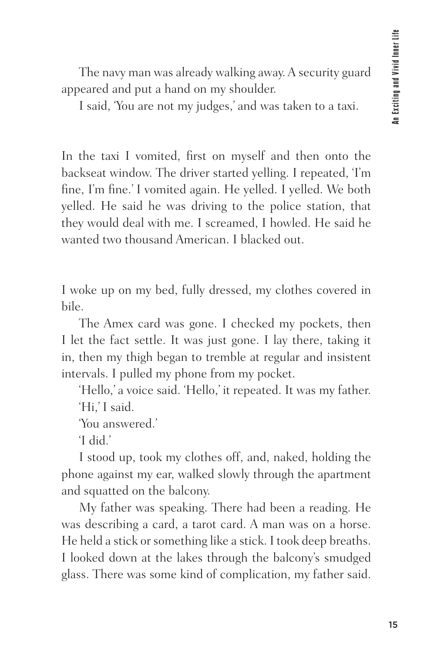The navy man was already walking away. A security guard appeared and put a hand on my shoulder.

I said, 'You are not my judges,' and was taken to a taxi.

In the taxi I vomited, first on myself and then onto the backseat window. The driver started yelling. I repeated, 'I'm fine, I'm fine.' I vomited again. He yelled. I yelled. We both yelled. He said he was driving to the police station, that they would deal with me. I screamed, I howled. He said he wanted two thousand American. I blacked out.

I woke up on my bed, fully dressed, my clothes covered in bile.

The Amex card was gone. I checked my pockets, then I let the fact settle. It was just gone. I lay there, taking it in, then my thigh began to tremble at regular and insistent intervals. I pulled my phone from my pocket.

'Hello,' a voice said. 'Hello,' it repeated. It was my father. 'Hi,' I said.

'You answered.'

'I did.'

I stood up, took my clothes off, and, naked, holding the phone against my ear, walked slowly through the apartment and squatted on the balcony.

My father was speaking. There had been a reading. He was describing a card, a tarot card. A man was on a horse. He held a stick or something like a stick. I took deep breaths. I looked down at the lakes through the balcony's smudged glass. There was some kind of complication, my father said.